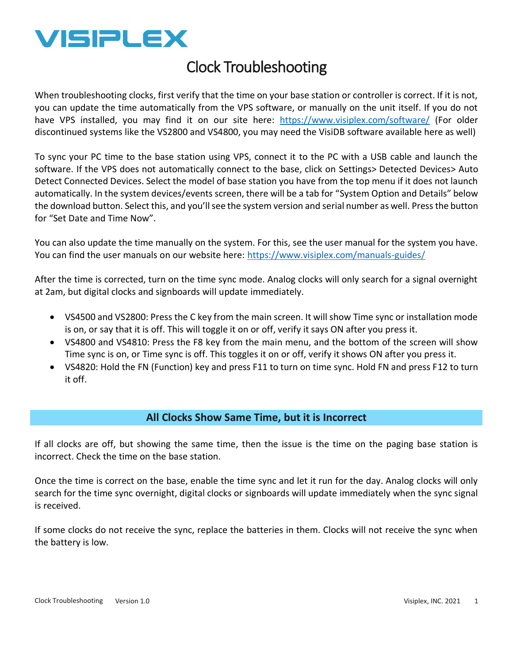

# Clock Troubleshooting

When troubleshooting clocks, first verify that the time on your base station or controller is correct. If it is not, you can update the time automatically from the VPS software, or manually on the unit itself. If you do not have VPS installed, you may find it on our site here: <https://www.visiplex.com/software/>(For older discontinued systems like the VS2800 and VS4800, you may need the VisiDB software available here as well)

To sync your PC time to the base station using VPS, connect it to the PC with a USB cable and launch the software. If the VPS does not automatically connect to the base, click on Settings> Detected Devices> Auto Detect Connected Devices. Select the model of base station you have from the top menu if it does not launch automatically. In the system devices/events screen, there will be a tab for "System Option and Details" below the download button. Select this, and you'll see the system version and serial number as well. Press the button for "Set Date and Time Now".

You can also update the time manually on the system. For this, see the user manual for the system you have. You can find the user manuals on our website here:<https://www.visiplex.com/manuals-guides/>

After the time is corrected, turn on the time sync mode. Analog clocks will only search for a signal overnight at 2am, but digital clocks and signboards will update immediately.

- VS4500 and VS2800: Press the C key from the main screen. It will show Time sync or installation mode is on, or say that it is off. This will toggle it on or off, verify it says ON after you press it.
- VS4800 and VS4810: Press the F8 key from the main menu, and the bottom of the screen will show Time sync is on, or Time sync is off. This toggles it on or off, verify it shows ON after you press it.
- VS4820: Hold the FN (Function) key and press F11 to turn on time sync. Hold FN and press F12 to turn it off.

### **All Clocks Show Same Time, but it is Incorrect**

If all clocks are off, but showing the same time, then the issue is the time on the paging base station is incorrect. Check the time on the base station.

Once the time is correct on the base, enable the time sync and let it run for the day. Analog clocks will only search for the time sync overnight, digital clocks or signboards will update immediately when the sync signal is received.

If some clocks do not receive the sync, replace the batteries in them. Clocks will not receive the sync when the battery is low.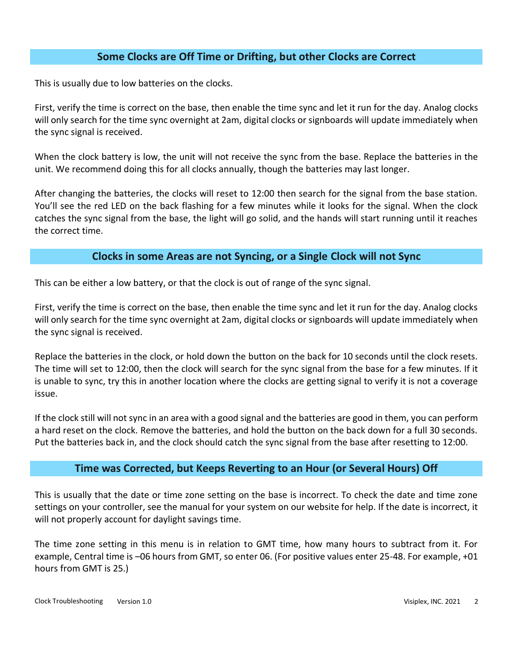# **Some Clocks are Off Time or Drifting, but other Clocks are Correct**

This is usually due to low batteries on the clocks.

First, verify the time is correct on the base, then enable the time sync and let it run for the day. Analog clocks will only search for the time sync overnight at 2am, digital clocks or signboards will update immediately when the sync signal is received.

When the clock battery is low, the unit will not receive the sync from the base. Replace the batteries in the unit. We recommend doing this for all clocks annually, though the batteries may last longer.

After changing the batteries, the clocks will reset to 12:00 then search for the signal from the base station. You'll see the red LED on the back flashing for a few minutes while it looks for the signal. When the clock catches the sync signal from the base, the light will go solid, and the hands will start running until it reaches the correct time.

### **Clocks in some Areas are not Syncing, or a Single Clock will not Sync**

This can be either a low battery, or that the clock is out of range of the sync signal.

First, verify the time is correct on the base, then enable the time sync and let it run for the day. Analog clocks will only search for the time sync overnight at 2am, digital clocks or signboards will update immediately when the sync signal is received.

Replace the batteries in the clock, or hold down the button on the back for 10 seconds until the clock resets. The time will set to 12:00, then the clock will search for the sync signal from the base for a few minutes. If it is unable to sync, try this in another location where the clocks are getting signal to verify it is not a coverage issue.

If the clock still will not sync in an area with a good signal and the batteries are good in them, you can perform a hard reset on the clock. Remove the batteries, and hold the button on the back down for a full 30 seconds. Put the batteries back in, and the clock should catch the sync signal from the base after resetting to 12:00.

#### **Time was Corrected, but Keeps Reverting to an Hour (or Several Hours) Off**

This is usually that the date or time zone setting on the base is incorrect. To check the date and time zone settings on your controller, see the manual for your system on our website for help. If the date is incorrect, it will not properly account for daylight savings time.

The time zone setting in this menu is in relation to GMT time, how many hours to subtract from it. For example, Central time is –06 hours from GMT, so enter 06. (For positive values enter 25-48. For example, +01 hours from GMT is 25.)